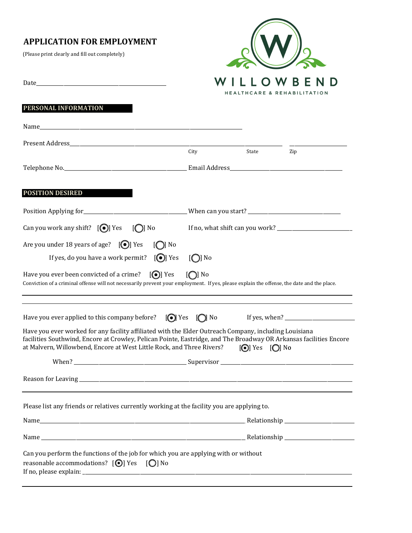# **APPLICATION FOR EMPLOYMENT**

(Please print clearly and fill out completely)

Date\_\_\_\_\_\_\_\_\_\_\_\_\_\_\_\_\_\_\_\_\_\_\_\_\_\_\_\_\_\_\_\_\_\_\_\_\_\_\_\_\_\_\_\_\_\_\_\_\_\_\_\_



|                                                                                                                                                                                                                                                                                                                                                                |                            | HEALINCARE & REHABILIIAIION |     |  |
|----------------------------------------------------------------------------------------------------------------------------------------------------------------------------------------------------------------------------------------------------------------------------------------------------------------------------------------------------------------|----------------------------|-----------------------------|-----|--|
| PERSONAL INFORMATION                                                                                                                                                                                                                                                                                                                                           |                            |                             |     |  |
|                                                                                                                                                                                                                                                                                                                                                                |                            |                             |     |  |
|                                                                                                                                                                                                                                                                                                                                                                |                            |                             |     |  |
|                                                                                                                                                                                                                                                                                                                                                                | City                       | State                       | Zip |  |
|                                                                                                                                                                                                                                                                                                                                                                |                            |                             |     |  |
| <b>POSITION DESIRED</b>                                                                                                                                                                                                                                                                                                                                        |                            |                             |     |  |
| Position Applying for_________________________________When can you start? __________________________                                                                                                                                                                                                                                                           |                            |                             |     |  |
| Can you work any shift? $[\bigodot]$ Yes $[\bigodot]$ No                                                                                                                                                                                                                                                                                                       |                            |                             |     |  |
| Are you under 18 years of age? $[①]$ Yes<br>$\lceil$ No                                                                                                                                                                                                                                                                                                        |                            |                             |     |  |
| If yes, do you have a work permit? $[①]$ Yes                                                                                                                                                                                                                                                                                                                   | $\left[\bigcirc\right]$ No |                             |     |  |
| $[①]$ Yes<br>Have you ever been convicted of a crime?<br>Conviction of a criminal offense will not necessarily prevent your employment. If yes, please explain the offense, the date and the place.                                                                                                                                                            | $\lceil$ No                |                             |     |  |
| Have you ever applied to this company before? $\Box$ Yes $\Box$ No                                                                                                                                                                                                                                                                                             |                            |                             |     |  |
| Have you ever worked for any facility affiliated with the Elder Outreach Company, including Louisiana<br>facilities Southwind, Encore at Crowley, Pelican Pointe, Eastridge, and The Broadway OR Arkansas facilities Encore<br>at Malvern, Willowbend, Encore at West Little Rock, and Three Rivers?<br>$\left[\bigodot\right]$ Yes $\left[\bigodot\right]$ No |                            |                             |     |  |
|                                                                                                                                                                                                                                                                                                                                                                |                            |                             |     |  |
|                                                                                                                                                                                                                                                                                                                                                                |                            |                             |     |  |
| Please list any friends or relatives currently working at the facility you are applying to.                                                                                                                                                                                                                                                                    |                            |                             |     |  |
|                                                                                                                                                                                                                                                                                                                                                                |                            |                             |     |  |
|                                                                                                                                                                                                                                                                                                                                                                |                            |                             |     |  |
| Can you perform the functions of the job for which you are applying with or without<br>reasonable accommodations? [⊙] Yes [○] No                                                                                                                                                                                                                               |                            |                             |     |  |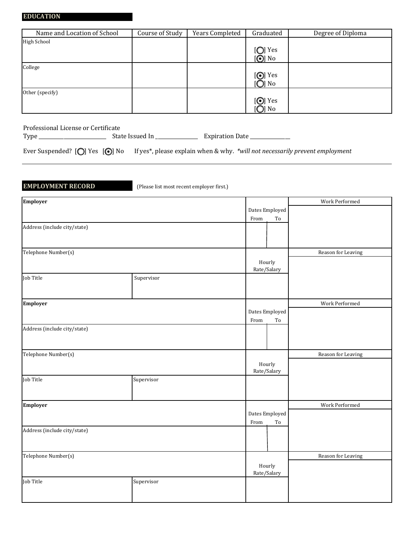| Name and Location of School | Course of Study | Years Completed | Graduated       | Degree of Diploma |
|-----------------------------|-----------------|-----------------|-----------------|-------------------|
| <b>High School</b>          |                 |                 |                 |                   |
|                             |                 |                 | [O] Yes         |                   |
|                             |                 |                 | $[①]$ No        |                   |
| College                     |                 |                 |                 |                   |
|                             |                 |                 | $[①]$ Yes       |                   |
|                             |                 |                 | [◯] No          |                   |
| Other (specify)             |                 |                 |                 |                   |
|                             |                 |                 | $[①]$ Yes       |                   |
|                             |                 |                 | [ <b>O</b> ] No |                   |

Professional License or Certificate

Type \_\_\_\_\_\_\_\_\_\_\_\_\_\_\_\_\_\_\_\_\_\_\_\_\_\_\_ State Issued In \_\_\_\_\_\_\_\_\_\_\_\_\_\_\_\_\_ Expiration Date \_\_\_\_\_\_\_\_\_\_\_\_\_\_\_\_

Ever Suspended? [O] Yes [<sup>o]</sup> No If yes\*, please explain when & why. *\*will not necessarily prevent employment* 

**EMPLOYMENT RECORD** (Please list most recent employer first.)

| Employer                     |            |                       |                              | Work Performed     |
|------------------------------|------------|-----------------------|------------------------------|--------------------|
|                              |            | Dates Employed        |                              |                    |
|                              |            | From                  | $\operatorname{\mathsf{To}}$ |                    |
| Address (include city/state) |            |                       |                              |                    |
|                              |            |                       |                              |                    |
|                              |            |                       |                              |                    |
| Telephone Number(s)          |            |                       |                              | Reason for Leaving |
|                              |            | Hourly                |                              |                    |
|                              |            |                       | Rate/Salary                  |                    |
| Job Title                    | Supervisor |                       |                              |                    |
|                              |            |                       |                              |                    |
| Employer                     |            |                       |                              | Work Performed     |
|                              |            | Dates Employed        |                              |                    |
|                              |            | From                  | To                           |                    |
| Address (include city/state) |            |                       |                              |                    |
|                              |            |                       |                              |                    |
| Telephone Number(s)          |            |                       |                              | Reason for Leaving |
|                              |            | Hourly<br>Rate/Salary |                              |                    |
|                              |            |                       |                              |                    |
| Job Title                    | Supervisor |                       |                              |                    |
|                              |            |                       |                              |                    |
|                              |            |                       |                              |                    |
| Employer                     |            |                       |                              | Work Performed     |
|                              |            | Dates Employed        |                              |                    |
|                              |            | From                  | $\operatorname{\mathsf{To}}$ |                    |
| Address (include city/state) |            |                       |                              |                    |
|                              |            |                       |                              |                    |
| Telephone Number(s)          |            |                       |                              | Reason for Leaving |
|                              |            |                       |                              |                    |
|                              |            | Hourly<br>Rate/Salary |                              |                    |
| Job Title                    | Supervisor |                       |                              |                    |
|                              |            |                       |                              |                    |
|                              |            |                       |                              |                    |